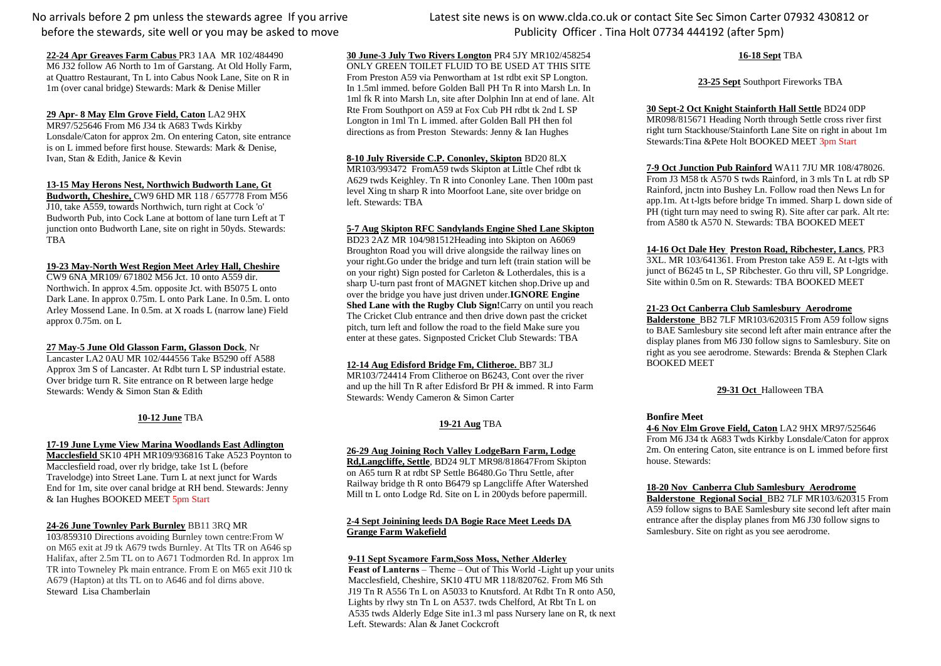# No arrivals before 2 pm unless the stewards agree If you arrive before the stewards, site well or you may be asked to move

**22-24 Apr Greaves Farm Cabus** PR3 1AA MR 102/484490 M6 J32 follow A6 North to 1m of Garstang. At Old Holly Farm, at Quattro Restaurant, Tn L into Cabus Nook Lane, Site on R in 1m (over canal bridge) Stewards: Mark & Denise Miller

#### **29 Apr- 8 May Elm Grove Field, Caton** LA2 9HX

MR97/525646 From M6 J34 tk A683 Twds Kirkby Lonsdale/Caton for approx 2m. On entering Caton, site entrance is on L immed before first house. Stewards: Mark & Denise, Ivan, Stan & Edith, Janice & Kevin

#### **13-15 May Herons Nest, Northwich Budworth Lane, Gt**

**Budworth, Cheshire,** CW9 6HD MR 118 / 657778 From M56 J10, take A559, towards Northwich, turn right at Cock 'o' Budworth Pub, into Cock Lane at bottom of lane turn Left at T junction onto Budworth Lane, site on right in 50yds. Stewards: TBA

#### **19-23 May-North West Region Meet Arley Hall, Cheshire**

CW9 6NA MR109/ 671802 M56 Jct. 10 onto A559 dir. Northwich. In approx 4.5m. opposite Jct. with B5075 L onto Dark Lane. In approx 0.75m. L onto Park Lane. In 0.5m. L onto Arley Mossend Lane. In 0.5m. at X roads L (narrow lane) Field approx 0.75m. on L

#### **27 May-5 June Old Glasson Farm, Glasson Dock**, Nr

Lancaster LA2 0AU MR 102/444556 Take B5290 off A588 Approx 3m S of Lancaster. At Rdbt turn L SP industrial estate. Over bridge turn R. Site entrance on R between large hedge Stewards: Wendy & Simon Stan & Edith

#### **10-12 June** TBA

# **17-19 June Lyme View Marina Woodlands East Adlington**

**Macclesfield** SK10 4PH MR109/936816 Take A523 Poynton to Macclesfield road, over rly bridge, take 1st L (before Travelodge) into Street Lane. Turn L at next junct for Wards End for 1m, site over canal bridge at RH bend. Stewards: Jenny & Ian Hughes BOOKED MEET 5pm Start

#### **24-26 June Townley Park Burnley** BB11 3RQ MR

103/859310 Directions avoiding Burnley town centre:From W on M65 exit at J9 tk A679 twds Burnley. At Tlts TR on A646 sp Halifax, after 2.5m TL on to A671 Todmorden Rd. In approx 1m TR into Towneley Pk main entrance. From E on M65 exit J10 tk A679 (Hapton) at tlts TL on to A646 and fol dirns above. Steward Lisa Chamberlain

Latest site news is on www.clda.co.uk or contact Site Sec Simon Carter 07932 430812 or Publicity Officer . Tina Holt 07734 444192 (after 5pm)

### **16-18 Sept** TBA

**23-25 Sept** Southport Fireworks TBA

**30 Sept-2 Oct Knight Stainforth Hall Settle** BD24 0DP MR098/815671 Heading North through Settle cross river first right turn Stackhouse/Stainforth Lane Site on right in about 1m Stewards:Tina &Pete Holt BOOKED MEET 3pm Start

**7-9 Oct Junction Pub Rainford** WA11 7JU MR 108/478026. From J3 M58 tk A570 S twds Rainford, in 3 mls Tn L at rdb SP Rainford, jnctn into Bushey Ln. Follow road then News Ln for app.1m. At t-lgts before bridge Tn immed. Sharp L down side of PH (tight turn may need to swing R). Site after car park. Alt rte: from A580 tk A570 N. Stewards: TBA BOOKED MEET

#### **14-16 Oct Dale Hey Preston Road, Ribchester, Lancs**, PR3

3XL. MR 103/641361. From Preston take A59 E. At t-lgts with junct of B6245 tn L, SP Ribchester. Go thru vill, SP Longridge. Site within 0.5m on R. Stewards: TBA BOOKED MEET

#### **21-23 Oct Canberra Club Samlesbury Aerodrome**

**Balderstone** BB2 7LF MR103/620315 From A59 follow signs to BAE Samlesbury site second left after main entrance after the display planes from M6 J30 follow signs to Samlesbury. Site on right as you see aerodrome. Stewards: Brenda & Stephen Clark BOOKED MEET

#### **29-31 Oct** Halloween TBA

#### **Bonfire Meet**

**4-6 Nov Elm Grove Field, Caton** LA2 9HX MR97/525646 From M6 J34 tk A683 Twds Kirkby Lonsdale/Caton for approx 2m. On entering Caton, site entrance is on L immed before first house. Stewards:

#### **18-20 Nov Canberra Club Samlesbury Aerodrome**

**Balderstone Regional Social** BB2 7LF MR103/620315 From A59 follow signs to BAE Samlesbury site second left after main entrance after the display planes from M6 J30 follow signs to Samlesbury. Site on right as you see aerodrome.

# **30 June-3 July Two Rivers Longton** PR4 5JY MR102/458254

ONLY GREEN TOILET FLUID TO BE USED AT THIS SITE From Preston A59 via Penwortham at 1st rdbt exit SP Longton. In 1.5ml immed. before Golden Ball PH Tn R into Marsh Ln. In 1ml fk R into Marsh Ln, site after Dolphin Inn at end of lane. Alt Rte From Southport on A59 at Fox Cub PH rdbt tk 2nd L SP Longton in 1ml Tn L immed. after Golden Ball PH then fol directions as from Preston Stewards: Jenny & Ian Hughes

#### **8-10 July Riverside C.P. Cononley, Skipton** BD20 8LX

MR103/993472 FromA59 twds Skipton at Little Chef rdbt tk A629 twds Keighley. Tn R into Cononley Lane. Then 100m past level Xing tn sharp R into Moorfoot Lane, site over bridge on left. Stewards: TBA

#### **5-7 Aug Skipton RFC Sandylands Engine Shed Lane Skipton**

BD23 2AZ MR 104/981512Heading into Skipton on A6069 Broughton Road you will drive alongside the railway lines on your right.Go under the bridge and turn left (train station will be on your right) Sign posted for Carleton & Lotherdales, this is a sharp U-turn past front of MAGNET kitchen shop.Drive up and over the bridge you have just driven under.**IGNORE Engine Shed Lane with the Rugby Club Sign!**Carry on until you reach The Cricket Club entrance and then drive down past the cricket pitch, turn left and follow the road to the field Make sure you enter at these gates. Signposted Cricket Club Stewards: TBA

#### **12-14 Aug Edisford Bridge Fm, Clitheroe.** BB7 3LJ

MR103/724414 From Clitheroe on B6243, Cont over the river and up the hill Tn R after Edisford Br PH & immed. R into Farm Stewards: Wendy Cameron & Simon Carter

# **19-21 Aug** TBA

#### **26-29 Aug Joining Roch Valley LodgeBarn Farm, Lodge**

**Rd,Langcliffe, Settle**, BD24 9LT MR98/818647From Skipton on A65 turn R at rdbt SP Settle B6480.Go Thru Settle, after Railway bridge th R onto B6479 sp Langcliffe After Watershed Mill tn L onto Lodge Rd. Site on L in 200yds before papermill.

#### **2-4 Sept Joinining leeds DA Bogie Race Meet Leeds DA Grange Farm Wakefield**

#### **9-11 Sept Sycamore Farm,Soss Moss, Nether Alderley**

**Feast of Lanterns** – Theme – Out of This World -Light up your units Macclesfield, Cheshire, SK10 4TU MR 118/820762. From M6 Sth J19 Tn R A556 Tn L on A5033 to Knutsford. At Rdbt Tn R onto A50, Lights by rlwy stn Tn L on A537. twds Chelford, At Rbt Tn L on A535 twds Alderly Edge Site in1.3 ml pass Nursery lane on R, tk next Left. Stewards: Alan & Janet Cockcroft